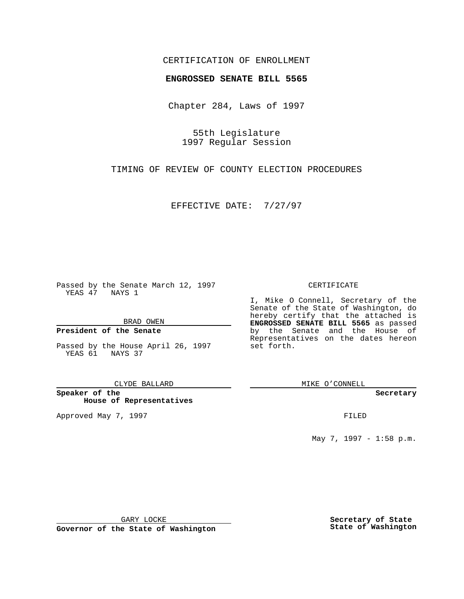### CERTIFICATION OF ENROLLMENT

# **ENGROSSED SENATE BILL 5565**

Chapter 284, Laws of 1997

55th Legislature 1997 Regular Session

TIMING OF REVIEW OF COUNTY ELECTION PROCEDURES

EFFECTIVE DATE: 7/27/97

Passed by the Senate March 12, 1997 YEAS 47 NAYS 1

BRAD OWEN

### **President of the Senate**

Passed by the House April 26, 1997 YEAS 61 NAYS 37

CLYDE BALLARD

**Speaker of the House of Representatives**

Approved May 7, 1997 **FILED** 

#### CERTIFICATE

I, Mike O Connell, Secretary of the Senate of the State of Washington, do hereby certify that the attached is **ENGROSSED SENATE BILL 5565** as passed by the Senate and the House of Representatives on the dates hereon set forth.

MIKE O'CONNELL

#### **Secretary**

May 7, 1997 - 1:58 p.m.

GARY LOCKE

**Governor of the State of Washington**

**Secretary of State State of Washington**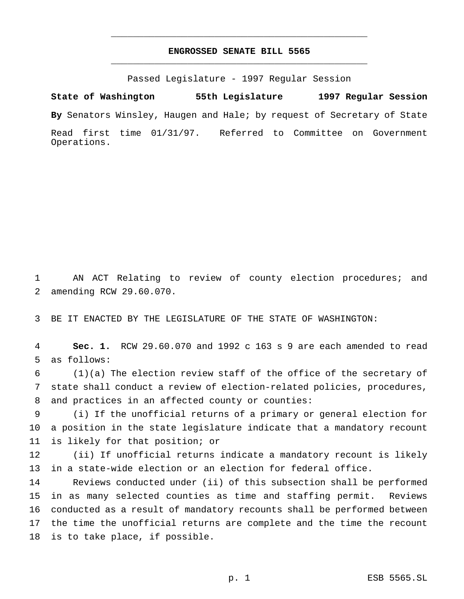## **ENGROSSED SENATE BILL 5565** \_\_\_\_\_\_\_\_\_\_\_\_\_\_\_\_\_\_\_\_\_\_\_\_\_\_\_\_\_\_\_\_\_\_\_\_\_\_\_\_\_\_\_\_\_\_\_

\_\_\_\_\_\_\_\_\_\_\_\_\_\_\_\_\_\_\_\_\_\_\_\_\_\_\_\_\_\_\_\_\_\_\_\_\_\_\_\_\_\_\_\_\_\_\_

Passed Legislature - 1997 Regular Session

**State of Washington 55th Legislature 1997 Regular Session By** Senators Winsley, Haugen and Hale; by request of Secretary of State Read first time 01/31/97. Referred to Committee on Government Operations.

 AN ACT Relating to review of county election procedures; and amending RCW 29.60.070.

BE IT ENACTED BY THE LEGISLATURE OF THE STATE OF WASHINGTON:

 **Sec. 1.** RCW 29.60.070 and 1992 c 163 s 9 are each amended to read as follows:

 (1)(a) The election review staff of the office of the secretary of state shall conduct a review of election-related policies, procedures, and practices in an affected county or counties:

 (i) If the unofficial returns of a primary or general election for a position in the state legislature indicate that a mandatory recount is likely for that position; or

 (ii) If unofficial returns indicate a mandatory recount is likely in a state-wide election or an election for federal office.

 Reviews conducted under (ii) of this subsection shall be performed in as many selected counties as time and staffing permit. Reviews conducted as a result of mandatory recounts shall be performed between the time the unofficial returns are complete and the time the recount is to take place, if possible.